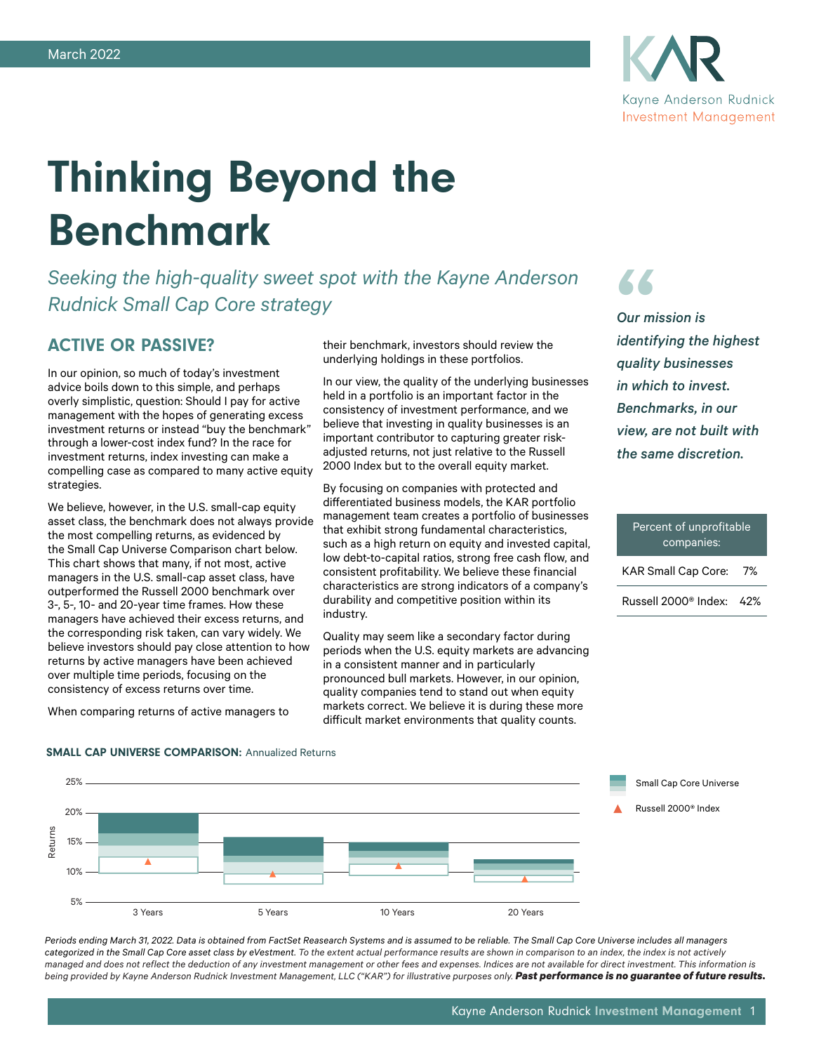

# Thinking Beyond the Benchmark

*Seeking the high-quality sweet spot with the Kayne Anderson Rudnick Small Cap Core strategy*

## ACTIVE OR PASSIVE?

In our opinion, so much of today's investment advice boils down to this simple, and perhaps overly simplistic, question: Should I pay for active management with the hopes of generating excess investment returns or instead "buy the benchmark" through a lower-cost index fund? In the race for investment returns, index investing can make a compelling case as compared to many active equity strategies.

We believe, however, in the U.S. small-cap equity asset class, the benchmark does not always provide the most compelling returns, as evidenced by the Small Cap Universe Comparison chart below. This chart shows that many, if not most, active managers in the U.S. small-cap asset class, have outperformed the Russell 2000 benchmark over 3-, 5-, 10- and 20-year time frames. How these managers have achieved their excess returns, and the corresponding risk taken, can vary widely. We believe investors should pay close attention to how returns by active managers have been achieved over multiple time periods, focusing on the consistency of excess returns over time.

When comparing returns of active managers to

their benchmark, investors should review the underlying holdings in these portfolios.

In our view, the quality of the underlying businesses held in a portfolio is an important factor in the consistency of investment performance, and we believe that investing in quality businesses is an important contributor to capturing greater riskadjusted returns, not just relative to the Russell 2000 Index but to the overall equity market.

By focusing on companies with protected and differentiated business models, the KAR portfolio management team creates a portfolio of businesses that exhibit strong fundamental characteristics, such as a high return on equity and invested capital, low debt-to-capital ratios, strong free cash flow, and consistent profitability. We believe these financial characteristics are strong indicators of a company's durability and competitive position within its industry.

Quality may seem like a secondary factor during periods when the U.S. equity markets are advancing in a consistent manner and in particularly pronounced bull markets. However, in our opinion, quality companies tend to stand out when equity markets correct. We believe it is during these more difficult market environments that quality counts.

" *identifying the highest Our mission is quality businesses in which to invest. Benchmarks, in our view, are not built with the same discretion.*

# Percent of unprofitable companies: KAR Small Cap Core: 7%

Russell 2000® Index: 42%

#### SMALL CAP UNIVERSE COMPARISON: Annualized Returns



*Periods ending March 31, 2022. Data is obtained from FactSet Reasearch Systems and is assumed to be reliable. The Small Cap Core Universe includes all managers categorized in the Small Cap Core asset class by eVestment. To the extent actual performance results are shown in comparison to an index, the index is not actively managed and does not reflect the deduction of any investment management or other fees and expenses. Indices are not available for direct investment. This information is*  being provided by Kayne Anderson Rudnick Investment Management, LLC ("KAR") for illustrative purposes only. Past performance is no guarantee of future results.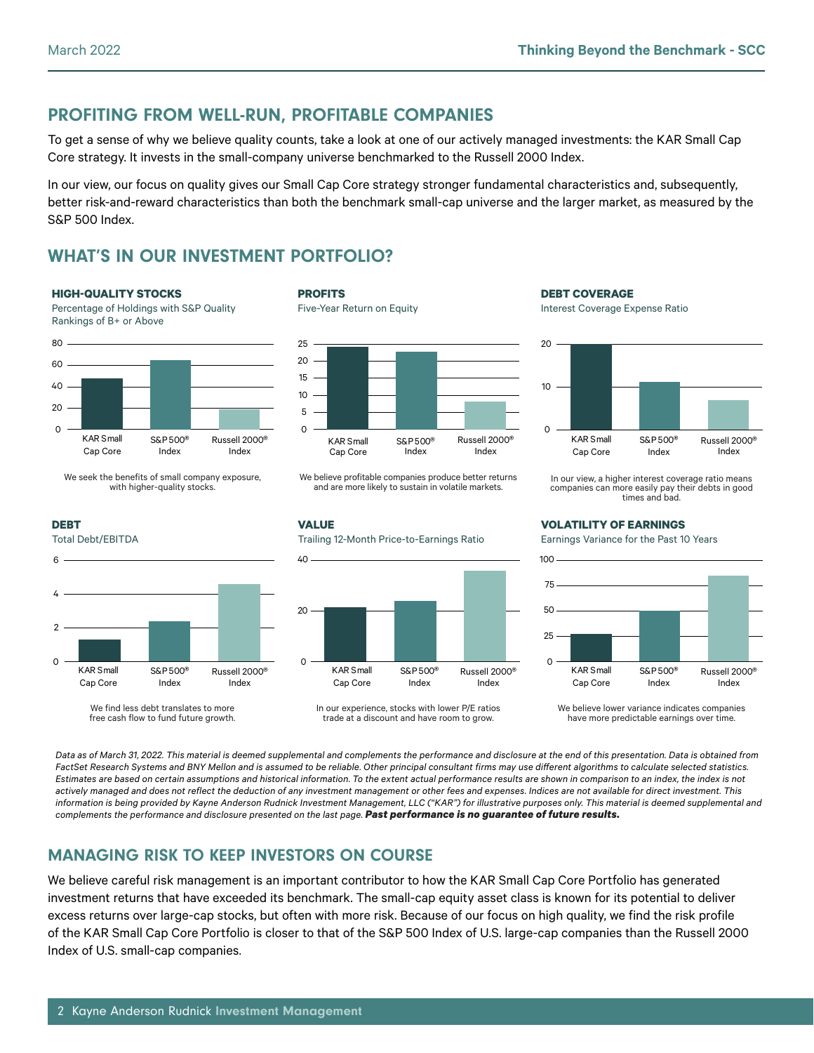# PROFITING FROM WELL-RUN, PROFITABLE COMPANIES

To get a sense of why we believe quality counts, take a look at one of our actively managed investments: the KAR Small Cap Core strategy. It invests in the small-company universe benchmarked to the Russell 2000 Index.

In our view, our focus on quality gives our Small Cap Core strategy stronger fundamental characteristics and, subsequently, better risk-and-reward characteristics than both the benchmark small-cap universe and the larger market, as measured by the S&P 500 Index.

# WHAT'S IN OUR INVESTMENT PORTFOLIO?

#### **HIGH-QUALITY STOCKS**

Percentage of Holdings with S&P Quality Rankings of B+ or Above



We seek the benefits of small company exposure, with higher-quality stocks.



We find less debt translates to more free cash flow to fund future growth.

#### **PROFITS**

Five-Year Return on Equity

KAR Small Cap Core

 $\Omega$ 

20

40

**VALUE**



We believe profitable companies produce better returns and are more likely to sustain in volatile markets.

Trailing 12-Month Price-to-Earnings Ratio

**DEBT COVERAGE**

Interest Coverage Expense Ratio



In our view, a higher interest coverage ratio means companies can more easily pay their debts in good times and bad.

### **VOLATILITY OF EARNINGS**

Earnings Variance for the Past 10 Years



We believe lower variance indicates companies have more predictable earnings over time.

*Data as of March 31, 2022. This material is deemed supplemental and complements the performance and disclosure at the end of this presentation. Data is obtained from FactSet Research Systems and BNY Mellon and is assumed to be reliable. Other principal consultant firms may use different algorithms to calculate selected statistics. Estimates are based on certain assumptions and historical information. To the extent actual performance results are shown in comparison to an index, the index is not actively managed and does not reflect the deduction of any investment management or other fees and expenses. Indices are not available for direct investment. This information is being provided by Kayne Anderson Rudnick Investment Management, LLC ("KAR") for illustrative purposes only. This material is deemed supplemental and complements the performance and disclosure presented on the last page. Past performance is no guarantee of future results.*

In our experience, stocks with lower P/E ratios trade at a discount and have room to grow.

S&P500® Index

Russell 2000® Index

# MANAGING RISK TO KEEP INVESTORS ON COURSE

We believe careful risk management is an important contributor to how the KAR Small Cap Core Portfolio has generated investment returns that have exceeded its benchmark. The small-cap equity asset class is known for its potential to deliver excess returns over large-cap stocks, but often with more risk. Because of our focus on high quality, we find the risk profile of the KAR Small Cap Core Portfolio is closer to that of the S&P 500 Index of U.S. large-cap companies than the Russell 2000 Index of U.S. small-cap companies.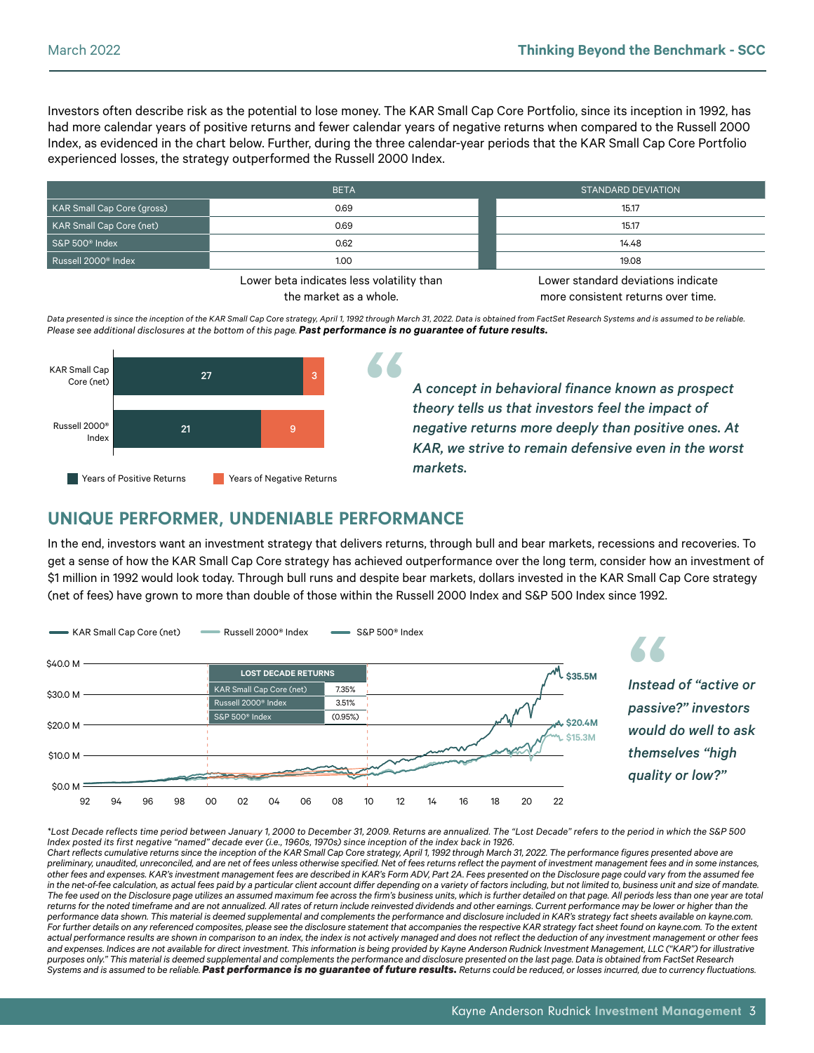Investors often describe risk as the potential to lose money. The KAR Small Cap Core Portfolio, since its inception in 1992, has had more calendar years of positive returns and fewer calendar years of negative returns when compared to the Russell 2000 Index, as evidenced in the chart below. Further, during the three calendar-year periods that the KAR Small Cap Core Portfolio experienced losses, the strategy outperformed the Russell 2000 Index.

|                                 | <b>BETA</b>                                                                                                     | STANDARD DEVIATION                                                                                              |  |  |
|---------------------------------|-----------------------------------------------------------------------------------------------------------------|-----------------------------------------------------------------------------------------------------------------|--|--|
| KAR Small Cap Core (gross)      | 0.69                                                                                                            | 15.17                                                                                                           |  |  |
| KAR Small Cap Core (net)        | 0.69                                                                                                            | 15.17                                                                                                           |  |  |
| $S\$ S&P 500 $^{\circ}$ Index   | 0.62                                                                                                            | 14.48                                                                                                           |  |  |
| Russell 2000 <sup>®</sup> Index | 1.00                                                                                                            | 19.08                                                                                                           |  |  |
|                                 | the contract of the contract of the contract of the contract of the contract of the contract of the contract of | the contract of the contract of the contract of the contract of the contract of the contract of the contract of |  |  |

Lower beta indicates less volatility than the market as a whole.

Lower standard deviations indicate more consistent returns over time.

*Data presented is since the inception of the KAR Small Cap Core strategy, April 1, 1992 through March 31, 2022. Data is obtained from FactSet Research Systems and is assumed to be reliable. Please see additional disclosures at the bottom of this page. Past performance is no guarantee of future results.*



*A concept in behavioral finance known as prospect theory tells us that investors feel the impact of negative returns more deeply than positive ones. At KAR, we strive to remain defensive even in the worst markets.*

## UNIQUE PERFORMER, UNDENIABLE PERFORMANCE

In the end, investors want an investment strategy that delivers returns, through bull and bear markets, recessions and recoveries. To get a sense of how the KAR Small Cap Core strategy has achieved outperformance over the long term, consider how an investment of \$1 million in 1992 would look today. Through bull runs and despite bear markets, dollars invested in the KAR Small Cap Core strategy (net of fees) have grown to more than double of those within the Russell 2000 Index and S&P 500 Index since 1992.



*\*Lost Decade reflects time period between January 1, 2000 to December 31, 2009. Returns are annualized. The "Lost Decade" refers to the period in which the S&P 500 Index posted its first negative "named" decade ever (i.e., 1960s, 1970s) since inception of the index back in 1926.*

*Chart reflects cumulative returns since the inception of the KAR Small Cap Core strategy, April 1, 1992 through March 31, 2022. The performance figures presented above are preliminary, unaudited, unreconciled, and are net of fees unless otherwise specified. Net of fees returns reflect the payment of investment management fees and in some instances, other fees and expenses. KAR's investment management fees are described in KAR's Form ADV, Part 2A. Fees presented on the Disclosure page could vary from the assumed fee in the net-of-fee calculation, as actual fees paid by a particular client account differ depending on a variety of factors including, but not limited to, business unit and size of mandate. The fee used on the Disclosure page utilizes an assumed maximum fee across the firm's business units, which is further detailed on that page. All periods less than one year are total*  returns for the noted timeframe and are not annualized. All rates of return include reinvested dividends and other earnings. Current performance may be lower or higher than the *performance data shown. This material is deemed supplemental and complements the performance and disclosure included in KAR's strategy fact sheets available on kayne.com.*  For further details on any referenced composites, please see the disclosure statement that accompanies the respective KAR strategy fact sheet found on kayne.com. To the extent actual performance results are shown in comparison to an index, the index is not actively managed and does not reflect the deduction of any investment management or other fees *and expenses. Indices are not available for direct investment. This information is being provided by Kayne Anderson Rudnick Investment Management, LLC ("KAR") for illustrative purposes only." This material is deemed supplemental and complements the performance and disclosure presented on the last page. Data is obtained from FactSet Research Systems and is assumed to be reliable. Past performance is no guarantee of future results. Returns could be reduced, or losses incurred, due to currency fluctuations.*